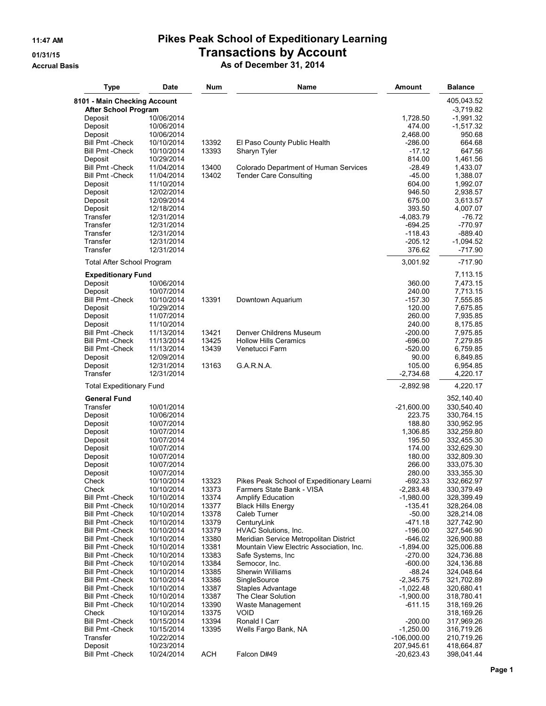| <b>Type</b>                                        | <b>Date</b>              | Num            | Name                                      | Amount                | <b>Balance</b>           |
|----------------------------------------------------|--------------------------|----------------|-------------------------------------------|-----------------------|--------------------------|
| 8101 - Main Checking Account                       |                          |                |                                           |                       | 405,043.52               |
| <b>After School Program</b>                        |                          |                |                                           |                       | $-3,719.82$              |
| Deposit                                            | 10/06/2014               |                |                                           | 1,728.50              | -1,991.32                |
| Deposit                                            | 10/06/2014               |                |                                           | 474.00                | $-1,517.32$              |
| Deposit                                            | 10/06/2014               |                |                                           | 2,468.00              | 950.68                   |
| <b>Bill Pmt - Check</b>                            | 10/10/2014               | 13392          | El Paso County Public Health              | $-286.00$             | 664.68                   |
| <b>Bill Pmt - Check</b>                            | 10/10/2014<br>10/29/2014 | 13393          | Sharyn Tyler                              | $-17.12$<br>814.00    | 647.56<br>1,461.56       |
| Deposit<br><b>Bill Pmt - Check</b>                 | 11/04/2014               | 13400          | Colorado Department of Human Services     | $-28.49$              | 1,433.07                 |
| <b>Bill Pmt - Check</b>                            | 11/04/2014               | 13402          | <b>Tender Care Consulting</b>             | $-45.00$              | 1,388.07                 |
| Deposit                                            | 11/10/2014               |                |                                           | 604.00                | 1,992.07                 |
| Deposit                                            | 12/02/2014               |                |                                           | 946.50                | 2,938.57                 |
| Deposit                                            | 12/09/2014               |                |                                           | 675.00                | 3,613.57                 |
| Deposit                                            | 12/18/2014               |                |                                           | 393.50                | 4,007.07                 |
| Transfer                                           | 12/31/2014               |                |                                           | $-4,083.79$           | $-76.72$                 |
| Transfer                                           | 12/31/2014               |                |                                           | -694.25               | $-770.97$                |
| Transfer                                           | 12/31/2014               |                |                                           | $-118.43$             | $-889.40$                |
| Transfer                                           | 12/31/2014               |                |                                           | $-205.12$             | -1,094.52                |
| Transfer                                           | 12/31/2014               |                |                                           | 376.62                | -717.90                  |
| Total After School Program                         |                          |                |                                           | 3,001.92              | $-717.90$                |
| <b>Expeditionary Fund</b>                          |                          |                |                                           |                       | 7,113.15                 |
| Deposit                                            | 10/06/2014               |                |                                           | 360.00                | 7,473.15                 |
| Deposit                                            | 10/07/2014               |                |                                           | 240.00                | 7,713.15                 |
| <b>Bill Pmt - Check</b>                            | 10/10/2014               | 13391          | Downtown Aquarium                         | $-157.30$             | 7,555.85                 |
| Deposit                                            | 10/29/2014<br>11/07/2014 |                |                                           | 120.00<br>260.00      | 7,675.85                 |
| Deposit<br>Deposit                                 | 11/10/2014               |                |                                           | 240.00                | 7,935.85<br>8,175.85     |
| <b>Bill Pmt - Check</b>                            | 11/13/2014               | 13421          | Denver Childrens Museum                   | $-200.00$             | 7,975.85                 |
| <b>Bill Pmt - Check</b>                            | 11/13/2014               | 13425          | <b>Hollow Hills Ceramics</b>              | -696.00               | 7,279.85                 |
| <b>Bill Pmt - Check</b>                            | 11/13/2014               | 13439          | Venetucci Farm                            | $-520.00$             | 6,759.85                 |
| Deposit                                            | 12/09/2014               |                |                                           | 90.00                 | 6,849.85                 |
| Deposit                                            | 12/31/2014               | 13163          | G.A.R.N.A.                                | 105.00                | 6,954.85                 |
| Transfer                                           | 12/31/2014               |                |                                           | $-2,734.68$           | 4,220.17                 |
| <b>Total Expeditionary Fund</b>                    |                          |                |                                           | $-2,892.98$           | 4,220.17                 |
| <b>General Fund</b>                                |                          |                |                                           |                       | 352,140.40               |
| Transfer                                           | 10/01/2014               |                |                                           | $-21,600.00$          | 330,540.40               |
| Deposit                                            | 10/06/2014               |                |                                           | 223.75                | 330,764.15               |
| Deposit                                            | 10/07/2014               |                |                                           | 188.80                | 330,952.95               |
| Deposit                                            | 10/07/2014               |                |                                           | 1,306.85              | 332,259.80               |
| Deposit                                            | 10/07/2014               |                |                                           | 195.50                | 332,455.30               |
| Deposit                                            | 10/07/2014<br>10/07/2014 |                |                                           | 174.00<br>180.00      | 332,629.30<br>332,809.30 |
| Deposit<br>Deposit                                 | 10/07/2014               |                |                                           | 266.00                | 333,075.30               |
| Deposit                                            | 10/07/2014               |                |                                           | 280.00                | 333,355.30               |
| Check                                              | 10/10/2014               | 13323          | Pikes Peak School of Expeditionary Learni | $-692.33$             | 332,662.97               |
| Check                                              | 10/10/2014               | 13373          | Farmers State Bank - VISA                 | $-2,283.48$           | 330,379.49               |
| <b>Bill Pmt -Check</b>                             | 10/10/2014               | 13374          | <b>Amplify Education</b>                  | $-1,980.00$           | 328,399.49               |
| <b>Bill Pmt - Check</b>                            | 10/10/2014               | 13377          | <b>Black Hills Energy</b>                 | $-135.41$             | 328,264.08               |
| <b>Bill Pmt -Check</b>                             | 10/10/2014               | 13378          | Caleb Turner                              | $-50.00$              | 328,214.08               |
| <b>Bill Pmt - Check</b>                            | 10/10/2014               | 13379          | CenturyLink                               | -471.18               | 327,742.90               |
| <b>Bill Pmt - Check</b>                            | 10/10/2014               | 13379          | HVAC Solutions, Inc.                      | $-196.00$             | 327,546.90               |
| <b>Bill Pmt - Check</b>                            | 10/10/2014               | 13380          | Meridian Service Metropolitan District    | $-646.02$             | 326,900.88               |
| <b>Bill Pmt - Check</b>                            | 10/10/2014               | 13381          | Mountain View Electric Association, Inc.  | $-1,894.00$           | 325,006.88               |
| <b>Bill Pmt - Check</b>                            | 10/10/2014               | 13383          | Safe Systems, Inc.                        | -270.00               | 324,736.88               |
| <b>Bill Pmt - Check</b><br><b>Bill Pmt - Check</b> | 10/10/2014<br>10/10/2014 | 13384<br>13385 | Semocor, Inc.<br>Sherwin Williams         | $-600.00$<br>$-88.24$ | 324,136.88<br>324,048.64 |
| <b>Bill Pmt - Check</b>                            | 10/10/2014               | 13386          | SingleSource                              | $-2,345.75$           | 321,702.89               |
| <b>Bill Pmt - Check</b>                            | 10/10/2014               | 13387          | Staples Advantage                         | $-1,022.48$           | 320,680.41               |
| <b>Bill Pmt - Check</b>                            | 10/10/2014               | 13387          | The Clear Solution                        | $-1,900.00$           | 318,780.41               |
| <b>Bill Pmt - Check</b>                            | 10/10/2014               | 13390          | Waste Management                          | -611.15               | 318,169.26               |
| Check                                              | 10/10/2014               | 13375          | <b>VOID</b>                               |                       | 318,169.26               |
| <b>Bill Pmt -Check</b>                             | 10/15/2014               | 13394          | Ronald I Carr                             | $-200.00$             | 317,969.26               |
| <b>Bill Pmt - Check</b>                            | 10/15/2014               | 13395          | Wells Fargo Bank, NA                      | $-1,250.00$           | 316,719.26               |
| Transfer                                           | 10/22/2014               |                |                                           | $-106,000.00$         | 210,719.26               |
| Deposit                                            | 10/23/2014               |                |                                           | 207,945.61            | 418,664.87               |
| <b>Bill Pmt - Check</b>                            | 10/24/2014               | <b>ACH</b>     | Falcon D#49                               | $-20,623.43$          | 398,041.44               |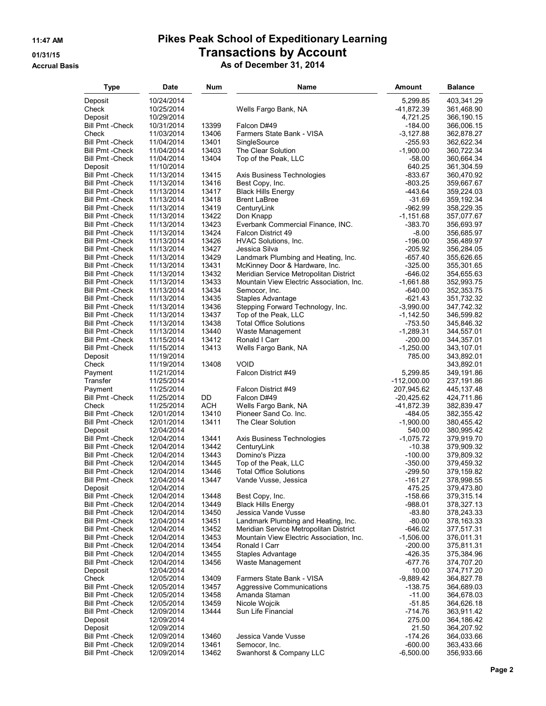| Type                               | <b>Date</b>              | Num            | Name                                                       | Amount                    | <b>Balance</b>           |
|------------------------------------|--------------------------|----------------|------------------------------------------------------------|---------------------------|--------------------------|
| Deposit                            | 10/24/2014               |                |                                                            | 5,299.85                  | 403,341.29               |
| Check                              | 10/25/2014               |                | Wells Fargo Bank, NA                                       | -41,872.39                | 361,468.90               |
| Deposit                            | 10/29/2014               |                |                                                            | 4,721.25                  | 366,190.15               |
| <b>Bill Pmt - Check</b>            | 10/31/2014               | 13399          | Falcon D#49                                                | $-184.00$                 | 366,006.15               |
| Check                              | 11/03/2014               | 13406          | Farmers State Bank - VISA                                  | $-3,127.88$               | 362,878.27               |
| <b>Bill Pmt - Check</b>            | 11/04/2014               | 13401          | SingleSource                                               | -255.93                   | 362,622.34               |
| Bill Pmt -Check                    | 11/04/2014               | 13403          | The Clear Solution                                         | $-1,900.00$               | 360,722.34               |
| Bill Pmt -Check                    | 11/04/2014               | 13404          | Top of the Peak, LLC                                       | $-58.00$                  | 360,664.34               |
| Deposit                            | 11/10/2014               |                |                                                            | 640.25                    | 361,304.59               |
| <b>Bill Pmt - Check</b>            | 11/13/2014               | 13415          | Axis Business Technologies                                 | -833.67                   | 360,470.92               |
| Bill Pmt -Check                    | 11/13/2014               | 13416          | Best Copy, Inc.                                            | $-803.25$                 | 359,667.67               |
| <b>Bill Pmt - Check</b>            | 11/13/2014               | 13417          | <b>Black Hills Energy</b>                                  | -443.64                   | 359,224.03               |
| Bill Pmt -Check                    | 11/13/2014               | 13418          | <b>Brent LaBree</b>                                        | $-31.69$                  | 359,192.34               |
| Bill Pmt -Check                    | 11/13/2014               | 13419          | CenturyLink                                                | $-962.99$                 | 358,229.35               |
| Bill Pmt -Check                    | 11/13/2014               | 13422          | Don Knapp                                                  | $-1,151.68$               | 357,077.67               |
| Bill Pmt -Check                    | 11/13/2014               | 13423          | Everbank Commercial Finance, INC.                          | $-383.70$                 | 356,693.97               |
| <b>Bill Pmt - Check</b>            | 11/13/2014               | 13424          | <b>Falcon District 49</b>                                  | $-8.00$                   | 356,685.97               |
| Bill Pmt -Check                    | 11/13/2014               | 13426          | HVAC Solutions, Inc.                                       | $-196.00$                 | 356,489.97               |
| Bill Pmt -Check                    | 11/13/2014               | 13427          | Jessica Silva                                              | $-205.92$                 | 356,284.05               |
| Bill Pmt -Check                    | 11/13/2014               | 13429          | Landmark Plumbing and Heating, Inc.                        | $-657.40$                 | 355,626.65               |
| Bill Pmt -Check                    | 11/13/2014               | 13431          | McKinney Door & Hardware, Inc.                             | $-325.00$                 | 355,301.65               |
| Bill Pmt -Check                    | 11/13/2014               | 13432          | Meridian Service Metropolitan District                     | $-646.02$                 | 354,655.63               |
| Bill Pmt -Check                    | 11/13/2014               | 13433          | Mountain View Electric Association, Inc.                   | $-1,661.88$               | 352,993.75               |
| Bill Pmt -Check                    | 11/13/2014               | 13434          | Semocor, Inc.                                              | $-640.00$                 | 352, 353. 75             |
| <b>Bill Pmt - Check</b>            | 11/13/2014               | 13435          | <b>Staples Advantage</b>                                   | $-621.43$                 | 351,732.32               |
| Bill Pmt -Check                    | 11/13/2014               | 13436          | Stepping Forward Technology, Inc.                          | $-3,990.00$               | 347,742.32               |
| Bill Pmt -Check                    | 11/13/2014               | 13437          | Top of the Peak, LLC                                       | $-1,142.50$               | 346,599.82               |
| Bill Pmt -Check                    | 11/13/2014               | 13438          | <b>Total Office Solutions</b>                              | $-753.50$                 | 345,846.32               |
| <b>Bill Pmt - Check</b>            | 11/13/2014               | 13440          | Waste Management                                           | $-1,289.31$               | 344,557.01               |
| <b>Bill Pmt - Check</b>            | 11/15/2014               | 13412          | Ronald I Carr                                              | $-200.00$                 | 344,357.01               |
| Bill Pmt -Check                    | 11/15/2014               | 13413          | Wells Fargo Bank, NA                                       | $-1,250.00$               | 343,107.01               |
| Deposit                            | 11/19/2014               |                | <b>VOID</b>                                                | 785.00                    | 343,892.01               |
| Check                              | 11/19/2014               | 13408          |                                                            |                           | 343,892.01               |
| Payment<br>Transfer                | 11/21/2014<br>11/25/2014 |                | Falcon District #49                                        | 5,299.85<br>$-112,000.00$ | 349,191.86               |
| Payment                            | 11/25/2014               |                | Falcon District #49                                        | 207,945.62                | 237,191.86<br>445,137.48 |
| <b>Bill Pmt - Check</b>            | 11/25/2014               | DD             | Falcon D#49                                                | $-20,425.62$              | 424,711.86               |
| Check                              | 11/25/2014               | ACH            | Wells Fargo Bank, NA                                       | -41,872.39                | 382,839.47               |
| Bill Pmt -Check                    | 12/01/2014               | 13410          | Pioneer Sand Co. Inc.                                      | -484.05                   | 382,355.42               |
| Bill Pmt -Check                    | 12/01/2014               | 13411          | The Clear Solution                                         | $-1,900.00$               | 380,455.42               |
| Deposit                            | 12/04/2014               |                |                                                            | 540.00                    | 380,995.42               |
| <b>Bill Pmt - Check</b>            | 12/04/2014               | 13441          | Axis Business Technologies                                 | $-1,075.72$               | 379,919.70               |
| Bill Pmt -Check                    | 12/04/2014               | 13442          | CenturyLink                                                | $-10.38$                  | 379,909.32               |
| <b>Bill Pmt - Check</b>            | 12/04/2014               | 13443          | Domino's Pizza                                             | $-100.00$                 | 379,809.32               |
| <b>Bill Pmt - Check</b>            | 12/04/2014               | 13445          | Top of the Peak, LLC                                       | $-350.00$                 | 379,459.32               |
| Bill Pmt -Check                    | 12/04/2014               | 13446          | <b>Total Office Solutions</b>                              | $-299.50$                 | 379,159.82               |
| Bill Pmt - Check                   | 12/04/2014               | 13447          | Vande Vusse, Jessica                                       | -161.27                   | 378,998.55               |
| Deposit                            | 12/04/2014               |                |                                                            | 475.25                    | 379,473.80               |
| <b>Bill Pmt - Check</b>            | 12/04/2014               | 13448          | Best Copy, Inc.                                            | $-158.66$                 | 379,315.14               |
| <b>Bill Pmt - Check</b>            | 12/04/2014               | 13449          | <b>Black Hills Energy</b>                                  | $-988.01$<br>$-83.80$     | 378,327.13               |
| Bill Pmt -Check<br>Bill Pmt -Check | 12/04/2014<br>12/04/2014 | 13450<br>13451 | Jessica Vande Vusse<br>Landmark Plumbing and Heating, Inc. | $-80.00$                  | 378,243.33<br>378,163.33 |
| Bill Pmt -Check                    | 12/04/2014               | 13452          | Meridian Service Metropolitan District                     | $-646.02$                 | 377,517.31               |
| <b>Bill Pmt - Check</b>            | 12/04/2014               | 13453          | Mountain View Electric Association, Inc.                   | $-1,506.00$               | 376,011.31               |
| <b>Bill Pmt - Check</b>            | 12/04/2014               | 13454          | Ronald I Carr                                              | $-200.00$                 | 375,811.31               |
| <b>Bill Pmt - Check</b>            | 12/04/2014               | 13455          | Staples Advantage                                          | $-426.35$                 | 375,384.96               |
| Bill Pmt -Check                    | 12/04/2014               | 13456          | Waste Management                                           | $-677.76$                 | 374,707.20               |
| Deposit                            | 12/04/2014               |                |                                                            | 10.00                     | 374,717.20               |
| Check                              | 12/05/2014               | 13409          | Farmers State Bank - VISA                                  | $-9,889.42$               | 364,827.78               |
| <b>Bill Pmt - Check</b>            | 12/05/2014               | 13457          | Aggressive Communications                                  | -138.75                   | 364,689.03               |
| <b>Bill Pmt - Check</b>            | 12/05/2014               | 13458          | Amanda Staman                                              | $-11.00$                  | 364,678.03               |
| Bill Pmt -Check                    | 12/05/2014               | 13459          | Nicole Wojcik                                              | $-51.85$                  | 364,626.18               |
| Bill Pmt -Check                    | 12/09/2014               | 13444          | Sun Life Financial                                         | $-714.76$                 | 363,911.42               |
| Deposit                            | 12/09/2014               |                |                                                            | 275.00                    | 364,186.42               |
| Deposit                            | 12/09/2014               |                |                                                            | 21.50                     | 364,207.92               |
| Bill Pmt -Check                    | 12/09/2014               | 13460          | Jessica Vande Vusse                                        | $-174.26$                 | 364,033.66               |
| <b>Bill Pmt - Check</b>            | 12/09/2014               | 13461          | Semocor, Inc.                                              | $-600.00$                 | 363,433.66               |
| <b>Bill Pmt - Check</b>            | 12/09/2014               | 13462          | Swanhorst & Company LLC                                    | $-6,500.00$               | 356,933.66               |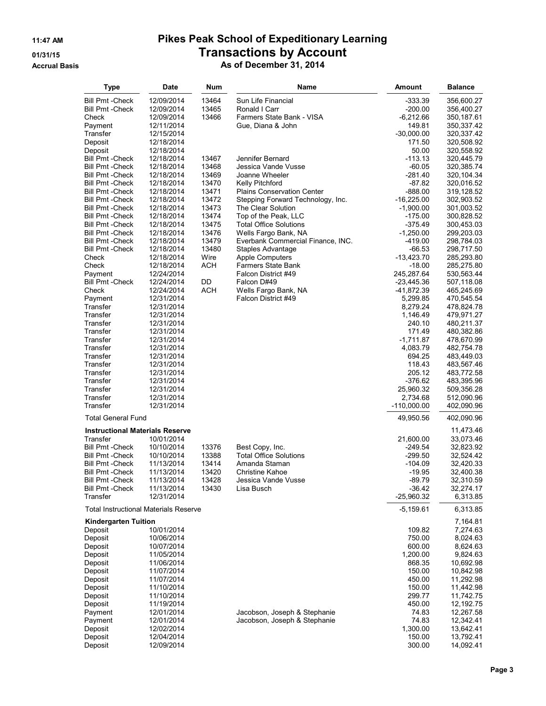| Type                                                                | Date                     | Num            | Name                                                      | Amount                   | Balance                  |
|---------------------------------------------------------------------|--------------------------|----------------|-----------------------------------------------------------|--------------------------|--------------------------|
| <b>Bill Pmt - Check</b>                                             | 12/09/2014               | 13464          | Sun Life Financial                                        | -333.39                  | 356,600.27               |
| <b>Bill Pmt - Check</b>                                             | 12/09/2014               | 13465          | Ronald I Carr                                             | $-200.00$                | 356,400.27               |
| Check                                                               | 12/09/2014               | 13466          | Farmers State Bank - VISA                                 | -6,212.66                | 350,187.61               |
| Payment                                                             | 12/11/2014               |                | Gue, Diana & John                                         | 149.81                   | 350,337.42               |
| Transfer                                                            | 12/15/2014<br>12/18/2014 |                |                                                           | $-30,000.00$<br>171.50   | 320,337.42               |
| Deposit<br>Deposit                                                  | 12/18/2014               |                |                                                           | 50.00                    | 320,508.92<br>320,558.92 |
| <b>Bill Pmt - Check</b>                                             | 12/18/2014               | 13467          | Jennifer Bernard                                          | $-113.13$                | 320,445.79               |
| <b>Bill Pmt - Check</b>                                             | 12/18/2014               | 13468          | Jessica Vande Vusse                                       | $-60.05$                 | 320,385.74               |
| <b>Bill Pmt - Check</b>                                             | 12/18/2014               | 13469          | Joanne Wheeler                                            | $-281.40$                | 320,104.34               |
| <b>Bill Pmt - Check</b>                                             | 12/18/2014               | 13470          | Kelly Pitchford                                           | $-87.82$                 | 320,016.52               |
| <b>Bill Pmt - Check</b>                                             | 12/18/2014               | 13471          | Plains Conservation Center                                | $-888.00$                | 319,128.52               |
| <b>Bill Pmt - Check</b>                                             | 12/18/2014               | 13472          | Stepping Forward Technology, Inc.                         | $-16,225.00$             | 302,903.52               |
| <b>Bill Pmt - Check</b>                                             | 12/18/2014               | 13473          | The Clear Solution                                        | $-1,900.00$              | 301,003.52               |
| <b>Bill Pmt - Check</b>                                             | 12/18/2014               | 13474          | Top of the Peak, LLC                                      | $-175.00$                | 300,828.52               |
| <b>Bill Pmt - Check</b><br><b>Bill Pmt - Check</b>                  | 12/18/2014               | 13475<br>13476 | <b>Total Office Solutions</b>                             | $-375.49$<br>$-1,250.00$ | 300,453.03               |
| <b>Bill Pmt - Check</b>                                             | 12/18/2014<br>12/18/2014 | 13479          | Wells Fargo Bank, NA<br>Everbank Commercial Finance, INC. | -419.00                  | 299,203.03<br>298,784.03 |
| <b>Bill Pmt - Check</b>                                             | 12/18/2014               | 13480          | Staples Advantage                                         | -66.53                   | 298,717.50               |
| Check                                                               | 12/18/2014               | Wire           | <b>Apple Computers</b>                                    | $-13,423.70$             | 285,293.80               |
| Check                                                               | 12/18/2014               | ACH            | <b>Farmers State Bank</b>                                 | $-18.00$                 | 285,275.80               |
| Payment                                                             | 12/24/2014               |                | Falcon District #49                                       | 245,287.64               | 530,563.44               |
| <b>Bill Pmt - Check</b>                                             | 12/24/2014               | DD             | Falcon D#49                                               | -23,445.36               | 507,118.08               |
| Check                                                               | 12/24/2014               | ACH            | Wells Fargo Bank, NA                                      | -41,872.39               | 465,245.69               |
| Payment                                                             | 12/31/2014               |                | Falcon District #49                                       | 5,299.85                 | 470,545.54               |
| Transfer                                                            | 12/31/2014               |                |                                                           | 8,279.24                 | 478,824.78               |
| Transfer                                                            | 12/31/2014               |                |                                                           | 1,146.49                 | 479,971.27               |
| Transfer<br>Transfer                                                | 12/31/2014<br>12/31/2014 |                |                                                           | 240.10<br>171.49         | 480,211.37<br>480,382.86 |
| Transfer                                                            | 12/31/2014               |                |                                                           | $-1,711.87$              | 478,670.99               |
| Transfer                                                            | 12/31/2014               |                |                                                           | 4,083.79                 | 482,754.78               |
| Transfer                                                            | 12/31/2014               |                |                                                           | 694.25                   | 483,449.03               |
| Transfer                                                            | 12/31/2014               |                |                                                           | 118.43                   | 483,567.46               |
| Transfer                                                            | 12/31/2014               |                |                                                           | 205.12                   | 483,772.58               |
| Transfer                                                            | 12/31/2014               |                |                                                           | -376.62                  | 483,395.96               |
| Transfer                                                            | 12/31/2014               |                |                                                           | 25,960.32                | 509,356.28               |
| Transfer                                                            | 12/31/2014               |                |                                                           | 2,734.68                 | 512,090.96               |
| Transfer                                                            | 12/31/2014               |                |                                                           | $-110,000.00$            | 402,090.96               |
| <b>Total General Fund</b><br><b>Instructional Materials Reserve</b> |                          |                |                                                           | 49,950.56                | 402,090.96               |
| Transfer                                                            | 10/01/2014               |                |                                                           | 21,600.00                | 11,473.46<br>33,073.46   |
| <b>Bill Pmt - Check</b>                                             | 10/10/2014               | 13376          | Best Copy, Inc.                                           | $-249.54$                | 32,823.92                |
| <b>Bill Pmt - Check</b>                                             | 10/10/2014               | 13388          | <b>Total Office Solutions</b>                             | -299.50                  | 32,524.42                |
| Bill Pmt -Check                                                     | 11/13/2014               | 13414          | Amanda Staman                                             | $-104.09$                | 32,420.33                |
| <b>Bill Pmt - Check</b>                                             | 11/13/2014               | 13420          | <b>Christine Kahoe</b>                                    | $-19.95$                 | 32,400.38                |
| <b>Bill Pmt - Check</b>                                             | 11/13/2014               | 13428          | Jessica Vande Vusse                                       | $-89.79$                 | 32,310.59                |
| <b>Bill Pmt - Check</b>                                             | 11/13/2014               | 13430          | Lisa Busch                                                | $-36.42$                 | 32,274.17                |
| Transfer                                                            | 12/31/2014               |                |                                                           | $-25,960.32$             | 6,313.85                 |
| Total Instructional Materials Reserve                               |                          |                |                                                           | $-5,159.61$              | 6,313.85                 |
| Kindergarten Tuition<br>Deposit                                     | 10/01/2014               |                |                                                           | 109.82                   | 7,164.81<br>7,274.63     |
| Deposit                                                             | 10/06/2014               |                |                                                           | 750.00                   | 8,024.63                 |
| Deposit                                                             | 10/07/2014               |                |                                                           | 600.00                   | 8,624.63                 |
| Deposit                                                             | 11/05/2014               |                |                                                           | 1,200.00                 | 9,824.63                 |
| Deposit                                                             | 11/06/2014               |                |                                                           | 868.35                   | 10,692.98                |
| Deposit                                                             | 11/07/2014               |                |                                                           | 150.00                   | 10,842.98                |
| Deposit                                                             | 11/07/2014               |                |                                                           | 450.00                   | 11,292.98                |
| Deposit                                                             | 11/10/2014               |                |                                                           | 150.00                   | 11,442.98                |
| Deposit                                                             | 11/10/2014               |                |                                                           | 299.77                   | 11,742.75                |
| Deposit<br>Payment                                                  | 11/19/2014<br>12/01/2014 |                | Jacobson, Joseph & Stephanie                              | 450.00<br>74.83          | 12,192.75<br>12,267.58   |
| Payment                                                             | 12/01/2014               |                | Jacobson, Joseph & Stephanie                              | 74.83                    | 12,342.41                |
| Deposit                                                             | 12/02/2014               |                |                                                           | 1,300.00                 | 13,642.41                |
| Deposit                                                             | 12/04/2014               |                |                                                           | 150.00                   | 13,792.41                |
| Deposit                                                             | 12/09/2014               |                |                                                           | 300.00                   | 14,092.41                |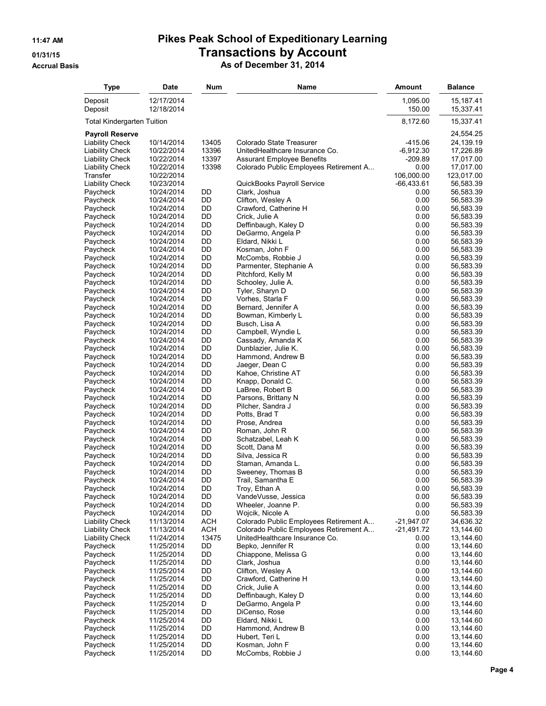| Type                               | Date                     | Num        | Name                                      | Amount             | <b>Balance</b>          |
|------------------------------------|--------------------------|------------|-------------------------------------------|--------------------|-------------------------|
| Deposit<br>Deposit                 | 12/17/2014<br>12/18/2014 |            |                                           | 1,095.00<br>150.00 | 15,187.41<br>15,337.41  |
| Total Kindergarten Tuition         |                          |            |                                           | 8,172.60           | 15,337.41               |
| <b>Payroll Reserve</b>             |                          |            |                                           |                    | 24,554.25               |
| <b>Liability Check</b>             | 10/14/2014               | 13405      | Colorado State Treasurer                  | $-415.06$          | 24,139.19               |
| <b>Liability Check</b>             | 10/22/2014               | 13396      | UnitedHealthcare Insurance Co.            | $-6,912.30$        | 17,226.89               |
| <b>Liability Check</b>             | 10/22/2014               | 13397      | <b>Assurant Employee Benefits</b>         | $-209.89$          | 17,017.00               |
| <b>Liability Check</b><br>Transfer | 10/22/2014<br>10/22/2014 | 13398      | Colorado Public Employees Retirement A    | 0.00<br>106,000.00 | 17,017.00<br>123,017.00 |
| <b>Liability Check</b>             | 10/23/2014               |            | QuickBooks Payroll Service                | $-66,433.61$       | 56,583.39               |
| Paycheck                           | 10/24/2014               | DD         | Clark, Joshua                             | 0.00               | 56,583.39               |
| Paycheck                           | 10/24/2014               | DD         | Clifton, Wesley A                         | 0.00               | 56,583.39               |
| Paycheck                           | 10/24/2014               | DD         | Crawford, Catherine H                     | 0.00               | 56,583.39               |
| Paycheck                           | 10/24/2014               | DD         | Crick, Julie A                            | 0.00               | 56,583.39               |
| Paycheck                           | 10/24/2014               | DD         | Deffinbaugh, Kaley D                      | 0.00               | 56,583.39               |
| Paycheck                           | 10/24/2014               | DD         | DeGarmo, Angela P                         | 0.00               | 56,583.39               |
| Paycheck                           | 10/24/2014<br>10/24/2014 | DD<br>DD   | Eldard, Nikki L<br>Kosman, John F         | 0.00<br>0.00       | 56,583.39<br>56,583.39  |
| Paycheck<br>Paycheck               | 10/24/2014               | DD         | McCombs, Robbie J                         | 0.00               | 56,583.39               |
| Paycheck                           | 10/24/2014               | DD         | Parmenter, Stephanie A                    | 0.00               | 56,583.39               |
| Paycheck                           | 10/24/2014               | DD         | Pitchford, Kelly M                        | 0.00               | 56,583.39               |
| Paycheck                           | 10/24/2014               | DD         | Schooley, Julie A.                        | 0.00               | 56,583.39               |
| Paycheck                           | 10/24/2014               | DD         | Tyler, Sharyn D                           | 0.00               | 56,583.39               |
| Paycheck                           | 10/24/2014               | DD         | Vorhes, Starla F                          | 0.00               | 56,583.39               |
| Paycheck                           | 10/24/2014               | DD         | Bernard, Jennifer A                       | 0.00               | 56,583.39               |
| Paycheck                           | 10/24/2014               | DD         | Bowman, Kimberly L                        | 0.00               | 56,583.39               |
| Paycheck<br>Paycheck               | 10/24/2014<br>10/24/2014 | DD<br>DD   | Busch, Lisa A<br>Campbell, Wyndie L       | 0.00<br>0.00       | 56,583.39<br>56,583.39  |
| Paycheck                           | 10/24/2014               | DD         | Cassady, Amanda K                         | 0.00               | 56,583.39               |
| Paycheck                           | 10/24/2014               | DD         | Dunblazier, Julie K.                      | 0.00               | 56,583.39               |
| Paycheck                           | 10/24/2014               | DD         | Hammond, Andrew B                         | 0.00               | 56,583.39               |
| Paycheck                           | 10/24/2014               | DD         | Jaeger, Dean C                            | 0.00               | 56,583.39               |
| Paycheck                           | 10/24/2014               | DD         | Kahoe, Christine AT                       | 0.00               | 56,583.39               |
| Paycheck                           | 10/24/2014               | DD         | Knapp, Donald C.                          | 0.00               | 56,583.39               |
| Paycheck                           | 10/24/2014               | DD         | LaBree, Robert B                          | 0.00               | 56,583.39               |
| Paycheck<br>Paycheck               | 10/24/2014<br>10/24/2014 | DD<br>DD   | Parsons, Brittany N<br>Pilcher, Sandra J  | 0.00<br>0.00       | 56,583.39<br>56,583.39  |
| Paycheck                           | 10/24/2014               | DD         | Potts, Brad T                             | 0.00               | 56,583.39               |
| Paycheck                           | 10/24/2014               | DD         | Prose, Andrea                             | 0.00               | 56,583.39               |
| Paycheck                           | 10/24/2014               | DD         | Roman, John R                             | 0.00               | 56,583.39               |
| Paycheck                           | 10/24/2014               | DD         | Schatzabel, Leah K                        | 0.00               | 56,583.39               |
| Paycheck                           | 10/24/2014               | DD         | Scott, Dana M                             | 0.00               | 56,583.39               |
| Paycheck                           | 10/24/2014               | DD         | Silva, Jessica R                          | 0.00               | 56,583.39               |
| Paycheck                           | 10/24/2014<br>10/24/2014 | DD<br>DD   | Staman, Amanda L.                         | 0.00<br>0.00       | 56,583.39<br>56,583.39  |
| Paycheck<br>Paycheck               | 10/24/2014               | DD         | Sweeney, Thomas B<br>Trail, Samantha E    | 0.00               | 56,583.39               |
| Paycheck                           | 10/24/2014               | DD         | Troy, Ethan A                             | 0.00               | 56,583.39               |
| Paycheck                           | 10/24/2014               | DD         | VandeVusse, Jessica                       | 0.00               | 56,583.39               |
| Paycheck                           | 10/24/2014               | DD         | Wheeler, Joanne P.                        | 0.00               | 56,583.39               |
| Paycheck                           | 10/24/2014               | DD         | Wojcik, Nicole A                          | 0.00               | 56,583.39               |
| <b>Liability Check</b>             | 11/13/2014               | <b>ACH</b> | Colorado Public Employees Retirement A    | $-21,947.07$       | 34,636.32               |
| <b>Liability Check</b>             | 11/13/2014               | <b>ACH</b> | Colorado Public Employees Retirement A    | $-21,491.72$       | 13,144.60               |
| <b>Liability Check</b>             | 11/24/2014               | 13475      | UnitedHealthcare Insurance Co.            | 0.00<br>0.00       | 13,144.60<br>13,144.60  |
| Paycheck<br>Paycheck               | 11/25/2014<br>11/25/2014 | DD<br>DD   | Bepko, Jennifer R<br>Chiappone, Melissa G | 0.00               | 13,144.60               |
| Paycheck                           | 11/25/2014               | DD         | Clark, Joshua                             | 0.00               | 13,144.60               |
| Paycheck                           | 11/25/2014               | DD         | Clifton, Wesley A                         | 0.00               | 13,144.60               |
| Paycheck                           | 11/25/2014               | DD         | Crawford, Catherine H                     | 0.00               | 13,144.60               |
| Paycheck                           | 11/25/2014               | DD         | Crick, Julie A                            | 0.00               | 13,144.60               |
| Paycheck                           | 11/25/2014               | DD         | Deffinbaugh, Kaley D                      | 0.00               | 13,144.60               |
| Paycheck                           | 11/25/2014               | D          | DeGarmo, Angela P                         | 0.00               | 13,144.60               |
| Paycheck                           | 11/25/2014               | DD<br>DD   | DiCenso, Rose                             | 0.00<br>0.00       | 13,144.60               |
| Paycheck<br>Paycheck               | 11/25/2014<br>11/25/2014 | DD         | Eldard, Nikki L<br>Hammond, Andrew B      | 0.00               | 13,144.60<br>13,144.60  |
| Paycheck                           | 11/25/2014               | DD         | Hubert, Teri L                            | 0.00               | 13,144.60               |
| Paycheck                           | 11/25/2014               | DD         | Kosman, John F                            | 0.00               | 13,144.60               |
| Paycheck                           | 11/25/2014               | DD         | McCombs, Robbie J                         | 0.00               | 13,144.60               |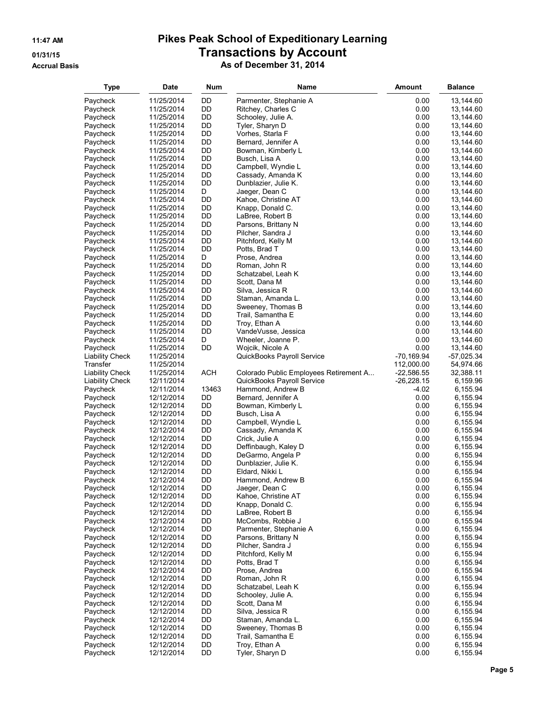| <b>Type</b>                        | <b>Date</b>              | Num        | Name                                           | Amount               | <b>Balance</b>          |
|------------------------------------|--------------------------|------------|------------------------------------------------|----------------------|-------------------------|
| Paycheck                           | 11/25/2014               | DD         | Parmenter, Stephanie A                         | 0.00                 | 13,144.60               |
| Paycheck                           | 11/25/2014               | DD         | Ritchey, Charles C                             | 0.00                 | 13,144.60               |
| Paycheck                           | 11/25/2014               | DD         | Schooley, Julie A.                             | 0.00                 | 13,144.60               |
| Paycheck                           | 11/25/2014               | DD         | Tyler, Sharyn D                                | 0.00                 | 13,144.60               |
| Paycheck                           | 11/25/2014               | DD         | Vorhes, Starla F                               | 0.00                 | 13,144.60               |
| Paycheck                           | 11/25/2014               | DD         | Bernard, Jennifer A                            | 0.00                 | 13,144.60               |
| Paycheck                           | 11/25/2014               | DD         | Bowman, Kimberly L                             | 0.00                 | 13,144.60               |
| Paycheck                           | 11/25/2014               | DD         | Busch, Lisa A                                  | 0.00                 | 13,144.60               |
| Paycheck                           | 11/25/2014               | DD         | Campbell, Wyndie L                             | 0.00                 | 13,144.60               |
| Paycheck                           | 11/25/2014               | DD         | Cassady, Amanda K                              | 0.00                 | 13,144.60               |
| Paycheck                           | 11/25/2014               | DD         | Dunblazier, Julie K.                           | 0.00                 | 13,144.60               |
| Paycheck                           | 11/25/2014               | D          | Jaeger, Dean C                                 | 0.00                 | 13,144.60               |
| Paycheck                           | 11/25/2014               | DD<br>DD   | Kahoe, Christine AT<br>Knapp, Donald C.        | 0.00<br>0.00         | 13,144.60               |
| Paycheck<br>Paycheck               | 11/25/2014<br>11/25/2014 | DD         | LaBree, Robert B                               | 0.00                 | 13,144.60<br>13,144.60  |
| Paycheck                           | 11/25/2014               | DD         | Parsons, Brittany N                            | 0.00                 | 13,144.60               |
| Paycheck                           | 11/25/2014               | DD         | Pilcher, Sandra J                              | 0.00                 | 13,144.60               |
| Paycheck                           | 11/25/2014               | DD         | Pitchford, Kelly M                             | 0.00                 | 13,144.60               |
| Paycheck                           | 11/25/2014               | DD         | Potts, Brad T                                  | 0.00                 | 13,144.60               |
| Paycheck                           | 11/25/2014               | D          | Prose, Andrea                                  | 0.00                 | 13,144.60               |
| Paycheck                           | 11/25/2014               | DD         | Roman, John R                                  | 0.00                 | 13,144.60               |
| Paycheck                           | 11/25/2014               | DD         | Schatzabel, Leah K                             | 0.00                 | 13,144.60               |
| Paycheck                           | 11/25/2014               | DD         | Scott, Dana M                                  | 0.00                 | 13,144.60               |
| Paycheck                           | 11/25/2014               | DD         | Silva, Jessica R                               | 0.00                 | 13,144.60               |
| Paycheck                           | 11/25/2014               | DD         | Staman, Amanda L.                              | 0.00                 | 13,144.60               |
| Paycheck                           | 11/25/2014               | DD         | Sweeney, Thomas B                              | 0.00                 | 13,144.60               |
| Paycheck                           | 11/25/2014               | DD         | Trail, Samantha E                              | 0.00                 | 13,144.60               |
| Paycheck                           | 11/25/2014               | DD         | Troy, Ethan A                                  | 0.00                 | 13,144.60               |
| Paycheck                           | 11/25/2014               | DD         | VandeVusse, Jessica                            | 0.00                 | 13,144.60               |
| Paycheck                           | 11/25/2014               | D          | Wheeler, Joanne P.                             | 0.00                 | 13,144.60               |
| Paycheck<br><b>Liability Check</b> | 11/25/2014<br>11/25/2014 | DD         | Wojcik, Nicole A<br>QuickBooks Payroll Service | 0.00<br>$-70,169.94$ | 13,144.60<br>-57,025.34 |
| Transfer                           | 11/25/2014               |            |                                                | 112,000.00           | 54,974.66               |
| <b>Liability Check</b>             | 11/25/2014               | <b>ACH</b> | Colorado Public Employees Retirement A         | $-22,586.55$         | 32,388.11               |
| <b>Liability Check</b>             | 12/11/2014               |            | QuickBooks Payroll Service                     | $-26,228.15$         | 6,159.96                |
| Paycheck                           | 12/11/2014               | 13463      | Hammond, Andrew B                              | $-4.02$              | 6,155.94                |
| Paycheck                           | 12/12/2014               | DD         | Bernard, Jennifer A                            | 0.00                 | 6,155.94                |
| Paycheck                           | 12/12/2014               | DD         | Bowman, Kimberly L                             | 0.00                 | 6,155.94                |
| Paycheck                           | 12/12/2014               | DD         | Busch, Lisa A                                  | 0.00                 | 6,155.94                |
| Paycheck                           | 12/12/2014               | DD         | Campbell, Wyndie L                             | 0.00                 | 6,155.94                |
| Paycheck                           | 12/12/2014               | DD         | Cassady, Amanda K                              | 0.00                 | 6,155.94                |
| Paycheck                           | 12/12/2014               | DD         | Crick, Julie A                                 | 0.00                 | 6,155.94                |
| Paycheck                           | 12/12/2014               | DD         | Deffinbaugh, Kaley D                           | 0.00                 | 6,155.94                |
| Paycheck                           | 12/12/2014               | DD         | DeGarmo, Angela P                              | 0.00                 | 6,155.94                |
| Paycheck                           | 12/12/2014               | DD<br>DD   | Dunblazier, Julie K.                           | 0.00<br>0.00         | 6,155.94                |
| Paycheck<br>Paycheck               | 12/12/2014<br>12/12/2014 | DD         | Eldard, Nikki L<br>Hammond, Andrew B           | 0.00                 | 6,155.94<br>6,155.94    |
| Paycheck                           | 12/12/2014               | DD         | Jaeger, Dean C                                 | 0.00                 | 6,155.94                |
| Paycheck                           | 12/12/2014               | DD         | Kahoe, Christine AT                            | 0.00                 | 6,155.94                |
| Paycheck                           | 12/12/2014               | DD         | Knapp, Donald C.                               | 0.00                 | 6,155.94                |
| Paycheck                           | 12/12/2014               | DD         | LaBree, Robert B                               | 0.00                 | 6,155.94                |
| Paycheck                           | 12/12/2014               | DD         | McCombs, Robbie J                              | 0.00                 | 6,155.94                |
| Paycheck                           | 12/12/2014               | DD         | Parmenter, Stephanie A                         | 0.00                 | 6,155.94                |
| Paycheck                           | 12/12/2014               | DD         | Parsons, Brittany N                            | 0.00                 | 6,155.94                |
| Paycheck                           | 12/12/2014               | DD         | Pilcher, Sandra J                              | 0.00                 | 6,155.94                |
| Paycheck                           | 12/12/2014               | DD         | Pitchford, Kelly M                             | 0.00                 | 6,155.94                |
| Paycheck                           | 12/12/2014               | DD         | Potts, Brad T                                  | 0.00                 | 6,155.94                |
| Paycheck                           | 12/12/2014               | DD         | Prose, Andrea                                  | 0.00                 | 6,155.94                |
| Paycheck                           | 12/12/2014               | DD<br>DD   | Roman, John R                                  | 0.00<br>0.00         | 6,155.94<br>6,155.94    |
| Paycheck<br>Paycheck               | 12/12/2014<br>12/12/2014 | DD         | Schatzabel, Leah K<br>Schooley, Julie A.       | 0.00                 | 6,155.94                |
| Paycheck                           | 12/12/2014               | DD         | Scott, Dana M                                  | 0.00                 | 6,155.94                |
| Paycheck                           | 12/12/2014               | DD         | Silva, Jessica R                               | 0.00                 | 6,155.94                |
| Paycheck                           | 12/12/2014               | DD         | Staman, Amanda L.                              | 0.00                 | 6,155.94                |
| Paycheck                           | 12/12/2014               | DD         | Sweeney, Thomas B                              | 0.00                 | 6,155.94                |
| Paycheck                           | 12/12/2014               | DD         | Trail, Samantha E                              | 0.00                 | 6,155.94                |
| Paycheck                           | 12/12/2014               | DD         | Troy, Ethan A                                  | 0.00                 | 6,155.94                |
| Paycheck                           | 12/12/2014               | DD         | Tyler, Sharyn D                                | 0.00                 | 6,155.94                |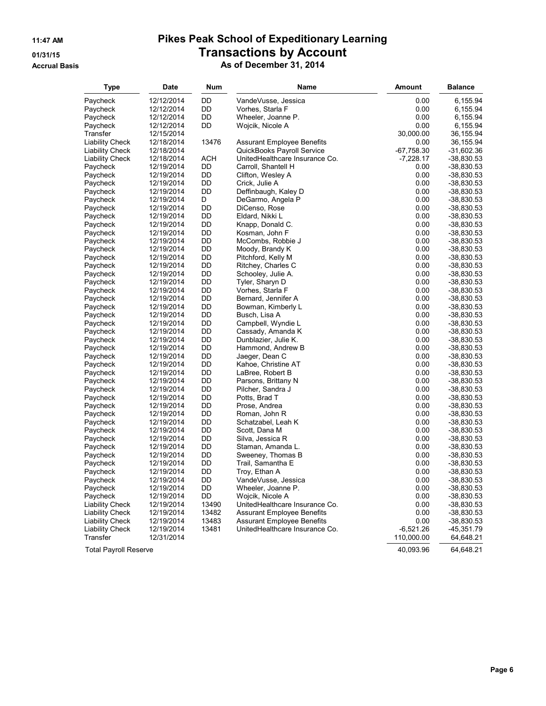#### **Accrual Basis As of December 31, 2014**

| <b>Type</b>                  | Date                     | Num      | Name                                  | <b>Amount</b> | <b>Balance</b>             |
|------------------------------|--------------------------|----------|---------------------------------------|---------------|----------------------------|
| Paycheck                     | 12/12/2014               | DD       | VandeVusse, Jessica                   | 0.00          | 6,155.94                   |
| Paycheck                     | 12/12/2014               | DD       | Vorhes, Starla F                      | 0.00          | 6,155.94                   |
| Paycheck                     | 12/12/2014               | DD       | Wheeler, Joanne P.                    | 0.00          | 6,155.94                   |
| Paycheck                     | 12/12/2014               | DD       | Wojcik, Nicole A                      | 0.00          | 6,155.94                   |
| Transfer                     | 12/15/2014               |          |                                       | 30,000.00     | 36,155.94                  |
| <b>Liability Check</b>       | 12/18/2014               | 13476    | <b>Assurant Employee Benefits</b>     | 0.00          | 36,155.94                  |
| Liability Check              | 12/18/2014               |          | QuickBooks Payroll Service            | $-67,758.30$  | -31,602.36                 |
| <b>Liability Check</b>       | 12/18/2014               | ACH      | UnitedHealthcare Insurance Co.        | $-7,228.17$   | $-38,830.53$               |
| Paycheck                     | 12/19/2014               | DD       | Carroll, Shantell H                   | 0.00          | -38,830.53                 |
| Paycheck                     | 12/19/2014               | DD       | Clifton, Wesley A                     | 0.00          | -38,830.53                 |
| Paycheck                     | 12/19/2014               | DD       | Crick, Julie A                        | 0.00          | -38,830.53                 |
| Paycheck                     | 12/19/2014               | DD       | Deffinbaugh, Kaley D                  | 0.00          | -38,830.53                 |
| Paycheck                     | 12/19/2014               | D        | DeGarmo, Angela P                     | 0.00          | -38,830.53                 |
| Paycheck                     | 12/19/2014               | DD       | DiCenso, Rose                         | 0.00          | -38,830.53                 |
| Paycheck                     | 12/19/2014               | DD       | Eldard, Nikki L                       | 0.00          | -38,830.53                 |
| Paycheck                     | 12/19/2014               | DD       | Knapp, Donald C.                      | 0.00          | $-38,830.53$               |
| Paycheck                     | 12/19/2014               | DD       | Kosman, John F                        | 0.00          | $-38,830.53$               |
| Paycheck                     | 12/19/2014               | DD       | McCombs, Robbie J                     | 0.00          | -38,830.53                 |
| Paycheck                     | 12/19/2014               | DD       | Moody, Brandy K                       | 0.00          | -38,830.53                 |
| Paycheck                     | 12/19/2014               | DD       | Pitchford, Kelly M                    | 0.00          | -38,830.53                 |
| Paycheck                     | 12/19/2014               | DD       | Ritchey, Charles C                    | 0.00          | $-38,830.53$               |
| Paycheck                     | 12/19/2014               | DD       | Schooley, Julie A.                    | 0.00          | $-38,830.53$               |
| Paycheck                     | 12/19/2014               | DD       | Tyler, Sharyn D                       | 0.00          | -38,830.53                 |
| Paycheck                     | 12/19/2014               | DD       | Vorhes, Starla F                      | 0.00          | $-38,830.53$               |
| Paycheck                     | 12/19/2014               | DD       | Bernard, Jennifer A                   | 0.00          | $-38,830.53$               |
| Paycheck                     | 12/19/2014               | DD       | Bowman, Kimberly L                    | 0.00          | -38,830.53                 |
| Paycheck                     | 12/19/2014               | DD       | Busch, Lisa A                         | 0.00          | $-38,830.53$               |
| Paycheck                     | 12/19/2014               | DD       | Campbell, Wyndie L                    | 0.00          | -38,830.53                 |
| Paycheck                     | 12/19/2014               | DD       | Cassady, Amanda K                     | 0.00          | -38,830.53                 |
| Paycheck                     | 12/19/2014               | DD       | Dunblazier, Julie K.                  | 0.00          | $-38,830.53$               |
| Paycheck                     | 12/19/2014               | DD       | Hammond, Andrew B                     | 0.00          | $-38,830.53$               |
| Paycheck                     | 12/19/2014               | DD       | Jaeger, Dean C                        | 0.00          | -38,830.53                 |
| Paycheck                     | 12/19/2014               | DD       | Kahoe, Christine AT                   | 0.00          | $-38,830.53$               |
| Paycheck                     | 12/19/2014               | DD       | LaBree, Robert B                      | 0.00          | -38,830.53                 |
| Paycheck                     | 12/19/2014               | DD       | Parsons, Brittany N                   | 0.00          | $-38,830.53$               |
| Paycheck                     | 12/19/2014               | DD       | Pilcher, Sandra J                     | 0.00          | -38,830.53                 |
| Paycheck                     | 12/19/2014               | DD       | Potts, Brad T                         | 0.00          | -38,830.53                 |
| Paycheck                     | 12/19/2014               | DD       | Prose, Andrea                         | 0.00          | $-38,830.53$               |
| Paycheck                     | 12/19/2014               | DD       | Roman, John R                         | 0.00          | -38,830.53                 |
| Paycheck                     | 12/19/2014               | DD<br>DD | Schatzabel, Leah K                    | 0.00<br>0.00  | -38,830.53                 |
| Paycheck                     | 12/19/2014               | DD       | Scott, Dana M                         | 0.00          | $-38,830.53$               |
| Paycheck                     | 12/19/2014               | DD       | Silva, Jessica R<br>Staman, Amanda L. | 0.00          | -38,830.53                 |
| Paycheck                     | 12/19/2014               | DD       | Sweeney, Thomas B                     | 0.00          | -38,830.53<br>$-38,830.53$ |
| Paycheck<br>Paycheck         | 12/19/2014<br>12/19/2014 | DD       | Trail, Samantha E                     | 0.00          | -38,830.53                 |
| Paycheck                     | 12/19/2014               | DD       | Troy, Ethan A                         | 0.00          | -38,830.53                 |
| Paycheck                     | 12/19/2014               | DD       | VandeVusse, Jessica                   | 0.00          | $-38,830.53$               |
| Paycheck                     | 12/19/2014               | DD       | Wheeler, Joanne P.                    | 0.00          | $-38,830.53$               |
| Paycheck                     | 12/19/2014               | DD       | Wojcik, Nicole A                      | 0.00          | $-38,830.53$               |
| <b>Liability Check</b>       | 12/19/2014               | 13490    | UnitedHealthcare Insurance Co.        | 0.00          | $-38,830.53$               |
| <b>Liability Check</b>       | 12/19/2014               | 13482    | <b>Assurant Employee Benefits</b>     | 0.00          | $-38,830.53$               |
| <b>Liability Check</b>       | 12/19/2014               | 13483    | <b>Assurant Employee Benefits</b>     | 0.00          | $-38,830.53$               |
| <b>Liability Check</b>       | 12/19/2014               | 13481    | UnitedHealthcare Insurance Co.        | $-6,521.26$   | $-45,351.79$               |
| Transfer                     | 12/31/2014               |          |                                       | 110,000.00    | 64,648.21                  |
| <b>Total Payroll Reserve</b> |                          |          |                                       | 40,093.96     | 64,648.21                  |

**Page 6**